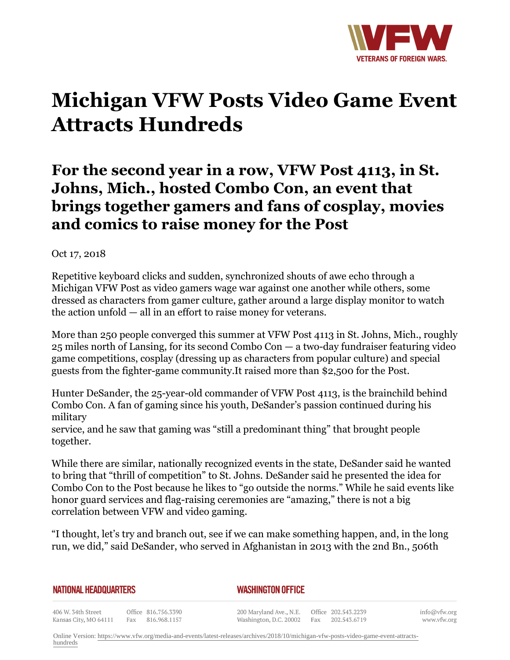

# **Michigan VFW Posts Video Game Event Attracts Hundreds**

# **For the second year in a row, VFW Post 4113, in St. Johns, Mich., hosted Combo Con, an event that brings together gamers and fans of cosplay, movies and comics to raise money for the Post**

# Oct 17, 2018

Repetitive keyboard clicks and sudden, synchronized shouts of awe echo through a Michigan VFW Post as video gamers wage war against one another while others, some dressed as characters from gamer culture, gather around a large display monitor to watch the action unfold — all in an effort to raise money for veterans.

More than 250 people converged this summer at VFW Post 4113 in St. Johns, Mich., roughly 25 miles north of Lansing, for its second Combo Con — a two-day fundraiser featuring video game competitions, cosplay (dressing up as characters from popular culture) and special guests from the fighter-game community.It raised more than \$2,500 for the Post.

Hunter DeSander, the 25-year-old commander of VFW Post 4113, is the brainchild behind Combo Con. A fan of gaming since his youth, DeSander's passion continued during his military

service, and he saw that gaming was "still a predominant thing" that brought people together.

While there are similar, nationally recognized events in the state, DeSander said he wanted to bring that "thrill of competition" to St. Johns. DeSander said he presented the idea for Combo Con to the Post because he likes to "go outside the norms." While he said events like honor guard services and flag-raising ceremonies are "amazing," there is not a big correlation between VFW and video gaming.

"I thought, let's try and branch out, see if we can make something happen, and, in the long run, we did," said DeSander, who served in Afghanistan in 2013 with the 2nd Bn., 506th

#### *WASHINGTON OFFICE*

406 W. 34th Street Office 816.756.3390 Kansas City, MO 64111 Fax 816.968.1157

200 Maryland Ave., N.E. Washington, D.C. 20002

Office 202.543.2239 Fax 202.543.6719

info@vfw.org www.vfw.org

Online Version: [https://www.vfw.org/media-and-events/latest-releases/archives/2018/10/michigan-vfw-posts-video-game-event-attracts](https://www.vfw.org/media-and-events/latest-releases/archives/2018/10/michigan-vfw-posts-video-game-event-attracts-hundreds)[hundreds](https://www.vfw.org/media-and-events/latest-releases/archives/2018/10/michigan-vfw-posts-video-game-event-attracts-hundreds)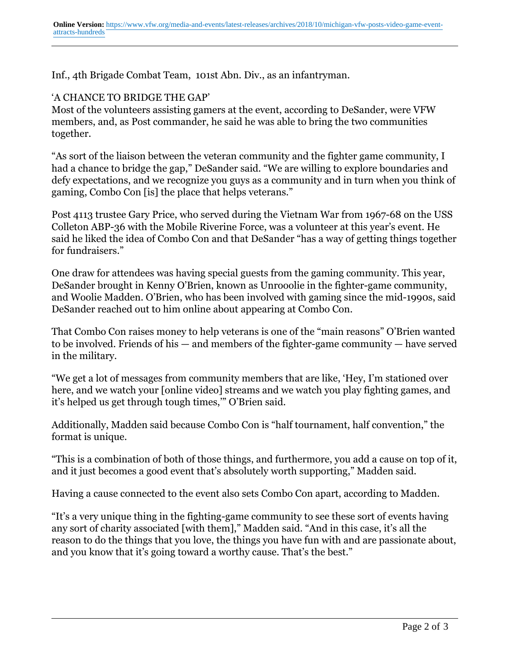Inf., 4th Brigade Combat Team, 101st Abn. Div., as an infantryman.

## 'A CHANCE TO BRIDGE THE GAP'

Most of the volunteers assisting gamers at the event, according to DeSander, were VFW members, and, as Post commander, he said he was able to bring the two communities together.

"As sort of the liaison between the veteran community and the fighter game community, I had a chance to bridge the gap," DeSander said. "We are willing to explore boundaries and defy expectations, and we recognize you guys as a community and in turn when you think of gaming, Combo Con [is] the place that helps veterans."

Post 4113 trustee Gary Price, who served during the Vietnam War from 1967-68 on the USS Colleton ABP-36 with the Mobile Riverine Force, was a volunteer at this year's event. He said he liked the idea of Combo Con and that DeSander "has a way of getting things together for fundraisers."

One draw for attendees was having special guests from the gaming community. This year, DeSander brought in Kenny O'Brien, known as Unrooolie in the fighter-game community, and Woolie Madden. O'Brien, who has been involved with gaming since the mid-1990s, said DeSander reached out to him online about appearing at Combo Con.

That Combo Con raises money to help veterans is one of the "main reasons" O'Brien wanted to be involved. Friends of his — and members of the fighter-game community — have served in the military.

"We get a lot of messages from community members that are like, 'Hey, I'm stationed over here, and we watch your [online video] streams and we watch you play fighting games, and it's helped us get through tough times,'" O'Brien said.

Additionally, Madden said because Combo Con is "half tournament, half convention," the format is unique.

"This is a combination of both of those things, and furthermore, you add a cause on top of it, and it just becomes a good event that's absolutely worth supporting," Madden said.

Having a cause connected to the event also sets Combo Con apart, according to Madden.

"It's a very unique thing in the fighting-game community to see these sort of events having any sort of charity associated [with them]," Madden said. "And in this case, it's all the reason to do the things that you love, the things you have fun with and are passionate about, and you know that it's going toward a worthy cause. That's the best."